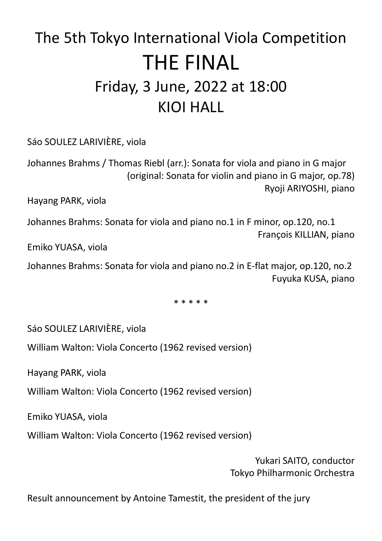# The 5th Tokyo International Viola Competition THE FINAL Friday, 3 June, 2022 at 18:00 KIOI HALL

Sáo SOULEZ LARIVIÈRE, viola

Johannes Brahms / Thomas Riebl (arr.): Sonata for viola and piano in G major (original: Sonata for violin and piano in G major, op.78) Ryoji ARIYOSHI, piano

Hayang PARK, viola

Johannes Brahms: Sonata for viola and piano no.1 in F minor, op.120, no.1 François KILLIAN, piano

Emiko YUASA, viola

Johannes Brahms: Sonata for viola and piano no.2 in E-flat major, op.120, no.2 Fuyuka KUSA, piano

\* \* \* \* \*

Sáo SOULEZ LARIVIÈRE, viola

William Walton: Viola Concerto (1962 revised version)

Hayang PARK, viola

William Walton: Viola Concerto (1962 revised version)

Emiko YUASA, viola

William Walton: Viola Concerto (1962 revised version)

Yukari SAITO, conductor Tokyo Philharmonic Orchestra

Result announcement by Antoine Tamestit, the president of the jury